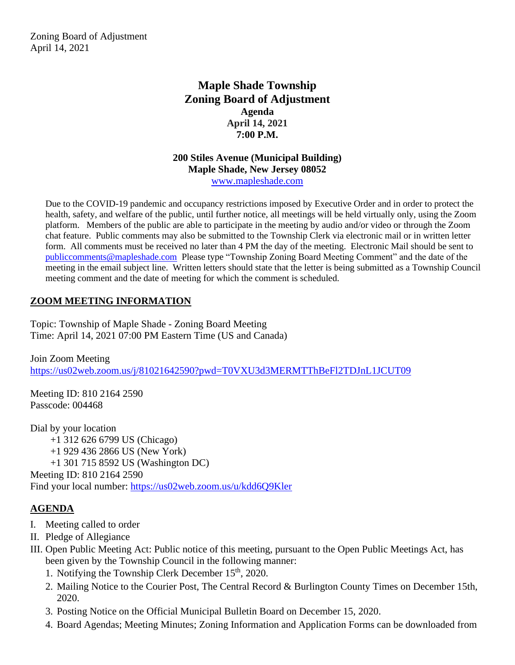Zoning Board of Adjustment April 14, 2021

# **Maple Shade Township Zoning Board of Adjustment Agenda April 14, 2021 7:00 P.M.**

#### **200 Stiles Avenue (Municipal Building) Maple Shade, New Jersey 08052** [www.mapleshade.com](http://www.mapleshade.com/)

Due to the COVID-19 pandemic and occupancy restrictions imposed by Executive Order and in order to protect the health, safety, and welfare of the public, until further notice, all meetings will be held virtually only, using the Zoom platform. Members of the public are able to participate in the meeting by audio and/or video or through the Zoom chat feature. Public comments may also be submitted to the Township Clerk via electronic mail or in written letter form. All comments must be received no later than 4 PM the day of the meeting. Electronic Mail should be sent to [publiccomments@mapleshade.com](mailto:publiccomments@mapleshade.com) Please type "Township Zoning Board Meeting Comment" and the date of the meeting in the email subject line. Written letters should state that the letter is being submitted as a Township Council meeting comment and the date of meeting for which the comment is scheduled.

# **ZOOM MEETING INFORMATION**

Topic: Township of Maple Shade - Zoning Board Meeting Time: April 14, 2021 07:00 PM Eastern Time (US and Canada)

Join Zoom Meeting <https://us02web.zoom.us/j/81021642590?pwd=T0VXU3d3MERMTThBeFl2TDJnL1JCUT09>

Meeting ID: 810 2164 2590 Passcode: 004468

Dial by your location +1 312 626 6799 US (Chicago) +1 929 436 2866 US (New York) +1 301 715 8592 US (Washington DC) Meeting ID: 810 2164 2590 Find your local number:<https://us02web.zoom.us/u/kdd6Q9Kler>

## **AGENDA**

- I. Meeting called to order
- II. Pledge of Allegiance
- III. Open Public Meeting Act: Public notice of this meeting, pursuant to the Open Public Meetings Act, has been given by the Township Council in the following manner:
	- 1. Notifying the Township Clerk December  $15<sup>th</sup>$ , 2020.
	- 2. Mailing Notice to the Courier Post, The Central Record & Burlington County Times on December 15th, 2020.
	- 3. Posting Notice on the Official Municipal Bulletin Board on December 15, 2020.
	- 4. Board Agendas; Meeting Minutes; Zoning Information and Application Forms can be downloaded from